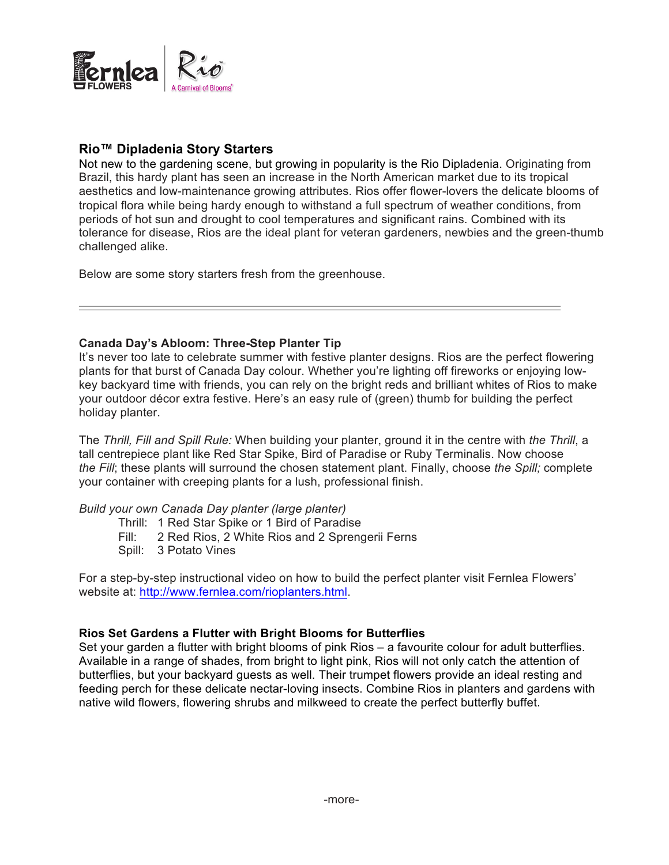

# **Rio™ Dipladenia Story Starters**

Not new to the gardening scene, but growing in popularity is the Rio Dipladenia. Originating from Brazil, this hardy plant has seen an increase in the North American market due to its tropical aesthetics and low-maintenance growing attributes. Rios offer flower-lovers the delicate blooms of tropical flora while being hardy enough to withstand a full spectrum of weather conditions, from periods of hot sun and drought to cool temperatures and significant rains. Combined with its tolerance for disease, Rios are the ideal plant for veteran gardeners, newbies and the green-thumb challenged alike.

Below are some story starters fresh from the greenhouse.

### **Canada Day's Abloom: Three-Step Planter Tip**

It's never too late to celebrate summer with festive planter designs. Rios are the perfect flowering plants for that burst of Canada Day colour. Whether you're lighting off fireworks or enjoying lowkey backyard time with friends, you can rely on the bright reds and brilliant whites of Rios to make your outdoor décor extra festive. Here's an easy rule of (green) thumb for building the perfect holiday planter.

The *Thrill, Fill and Spill Rule:* When building your planter, ground it in the centre with *the Thrill*, a tall centrepiece plant like Red Star Spike, Bird of Paradise or Ruby Terminalis. Now choose *the Fill*; these plants will surround the chosen statement plant. Finally, choose *the Spill;* complete your container with creeping plants for a lush, professional finish.

#### *Build your own Canada Day planter (large planter)*

- Thrill: 1 Red Star Spike or 1 Bird of Paradise
- Fill: 2 Red Rios, 2 White Rios and 2 Sprengerii Ferns
- Spill: 3 Potato Vines

For a step-by-step instructional video on how to build the perfect planter visit Fernlea Flowers' website at: http://www.fernlea.com/rioplanters.html.

## **Rios Set Gardens a Flutter with Bright Blooms for Butterflies**

Set your garden a flutter with bright blooms of pink Rios – a favourite colour for adult butterflies. Available in a range of shades, from bright to light pink, Rios will not only catch the attention of butterflies, but your backyard guests as well. Their trumpet flowers provide an ideal resting and feeding perch for these delicate nectar-loving insects. Combine Rios in planters and gardens with native wild flowers, flowering shrubs and milkweed to create the perfect butterfly buffet.